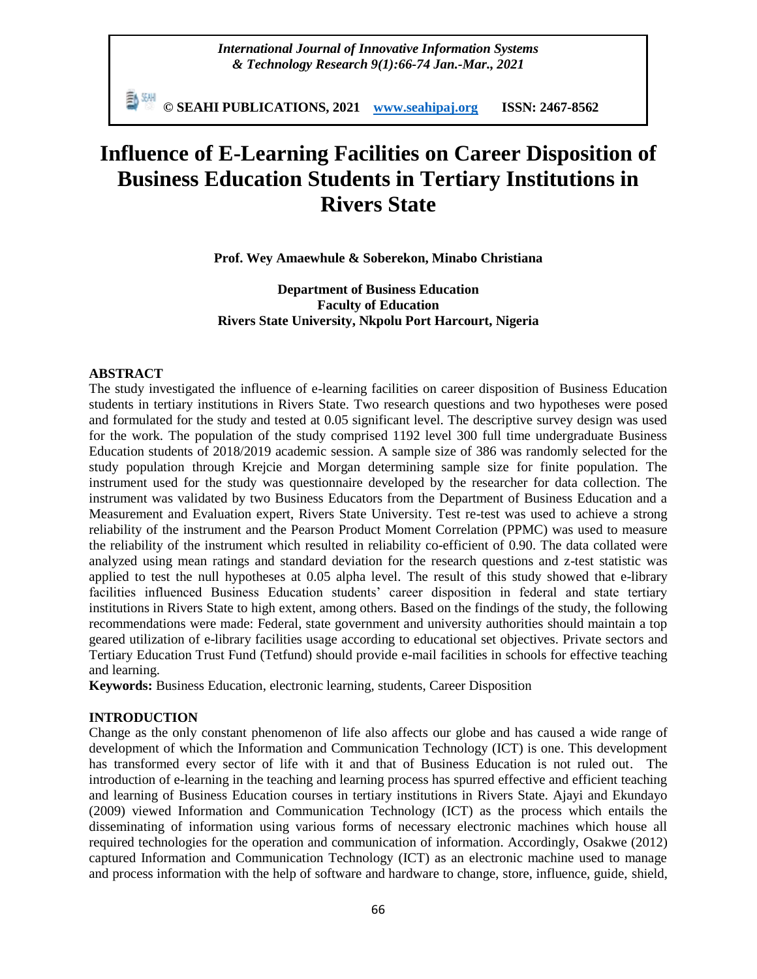*International Journal of Innovative Information Systems & Technology Research 9(1):66-74 Jan.-Mar., 2021*

**© SEAHI PUBLICATIONS, 2021 [www.seahipaj.org](http://www.seahipaj.org/) ISSN: 2467-8562**

# **Influence of E-Learning Facilities on Career Disposition of Business Education Students in Tertiary Institutions in Rivers State**

**Prof. Wey Amaewhule & Soberekon, Minabo Christiana**

**Department of Business Education Faculty of Education Rivers State University, Nkpolu Port Harcourt, Nigeria**

### **ABSTRACT**

The study investigated the influence of e-learning facilities on career disposition of Business Education students in tertiary institutions in Rivers State. Two research questions and two hypotheses were posed and formulated for the study and tested at 0.05 significant level. The descriptive survey design was used for the work. The population of the study comprised 1192 level 300 full time undergraduate Business Education students of 2018/2019 academic session. A sample size of 386 was randomly selected for the study population through Krejcie and Morgan determining sample size for finite population. The instrument used for the study was questionnaire developed by the researcher for data collection. The instrument was validated by two Business Educators from the Department of Business Education and a Measurement and Evaluation expert, Rivers State University. Test re-test was used to achieve a strong reliability of the instrument and the Pearson Product Moment Correlation (PPMC) was used to measure the reliability of the instrument which resulted in reliability co-efficient of 0.90. The data collated were analyzed using mean ratings and standard deviation for the research questions and z-test statistic was applied to test the null hypotheses at 0.05 alpha level. The result of this study showed that e-library facilities influenced Business Education students" career disposition in federal and state tertiary institutions in Rivers State to high extent, among others. Based on the findings of the study, the following recommendations were made: Federal, state government and university authorities should maintain a top geared utilization of e-library facilities usage according to educational set objectives. Private sectors and Tertiary Education Trust Fund (Tetfund) should provide e-mail facilities in schools for effective teaching and learning.

**Keywords:** Business Education, electronic learning, students, Career Disposition

#### **INTRODUCTION**

Change as the only constant phenomenon of life also affects our globe and has caused a wide range of development of which the Information and Communication Technology (ICT) is one. This development has transformed every sector of life with it and that of Business Education is not ruled out. The introduction of e-learning in the teaching and learning process has spurred effective and efficient teaching and learning of Business Education courses in tertiary institutions in Rivers State. Ajayi and Ekundayo (2009) viewed Information and Communication Technology (ICT) as the process which entails the disseminating of information using various forms of necessary electronic machines which house all required technologies for the operation and communication of information. Accordingly, Osakwe (2012) captured Information and Communication Technology (ICT) as an electronic machine used to manage and process information with the help of software and hardware to change, store, influence, guide, shield,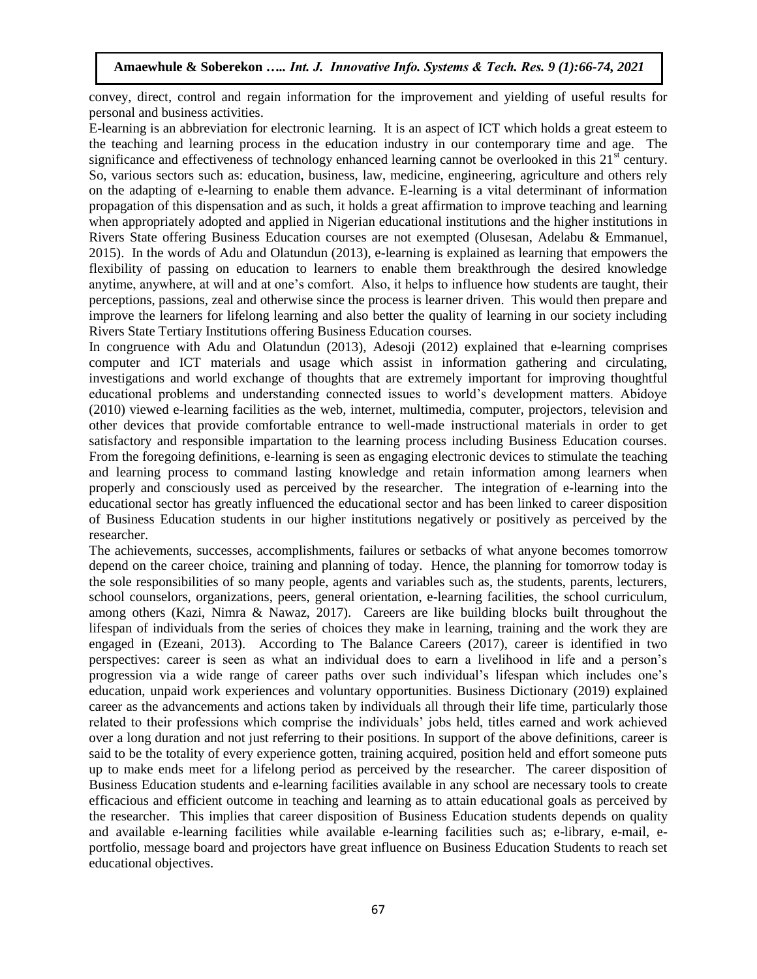convey, direct, control and regain information for the improvement and yielding of useful results for personal and business activities.

E-learning is an abbreviation for electronic learning. It is an aspect of ICT which holds a great esteem to the teaching and learning process in the education industry in our contemporary time and age. The significance and effectiveness of technology enhanced learning cannot be overlooked in this  $21<sup>st</sup>$  century. So, various sectors such as: education, business, law, medicine, engineering, agriculture and others rely on the adapting of e-learning to enable them advance. E-learning is a vital determinant of information propagation of this dispensation and as such, it holds a great affirmation to improve teaching and learning when appropriately adopted and applied in Nigerian educational institutions and the higher institutions in Rivers State offering Business Education courses are not exempted (Olusesan, Adelabu & Emmanuel, 2015). In the words of Adu and Olatundun (2013), e-learning is explained as learning that empowers the flexibility of passing on education to learners to enable them breakthrough the desired knowledge anytime, anywhere, at will and at one"s comfort. Also, it helps to influence how students are taught, their perceptions, passions, zeal and otherwise since the process is learner driven. This would then prepare and improve the learners for lifelong learning and also better the quality of learning in our society including Rivers State Tertiary Institutions offering Business Education courses.

In congruence with Adu and Olatundun (2013), Adesoji (2012) explained that e-learning comprises computer and ICT materials and usage which assist in information gathering and circulating, investigations and world exchange of thoughts that are extremely important for improving thoughtful educational problems and understanding connected issues to world"s development matters. Abidoye (2010) viewed e-learning facilities as the web, internet, multimedia, computer, projectors, television and other devices that provide comfortable entrance to well-made instructional materials in order to get satisfactory and responsible impartation to the learning process including Business Education courses. From the foregoing definitions, e-learning is seen as engaging electronic devices to stimulate the teaching and learning process to command lasting knowledge and retain information among learners when properly and consciously used as perceived by the researcher. The integration of e-learning into the educational sector has greatly influenced the educational sector and has been linked to career disposition of Business Education students in our higher institutions negatively or positively as perceived by the researcher.

The achievements, successes, accomplishments, failures or setbacks of what anyone becomes tomorrow depend on the career choice, training and planning of today. Hence, the planning for tomorrow today is the sole responsibilities of so many people, agents and variables such as, the students, parents, lecturers, school counselors, organizations, peers, general orientation, e-learning facilities, the school curriculum, among others (Kazi, Nimra & Nawaz, 2017). Careers are like building blocks built throughout the lifespan of individuals from the series of choices they make in learning, training and the work they are engaged in (Ezeani, 2013). According to The Balance Careers (2017), career is identified in two perspectives: career is seen as what an individual does to earn a livelihood in life and a person"s progression via a wide range of career paths over such individual"s lifespan which includes one"s education, unpaid work experiences and voluntary opportunities. Business Dictionary (2019) explained career as the advancements and actions taken by individuals all through their life time, particularly those related to their professions which comprise the individuals" jobs held, titles earned and work achieved over a long duration and not just referring to their positions. In support of the above definitions, career is said to be the totality of every experience gotten, training acquired, position held and effort someone puts up to make ends meet for a lifelong period as perceived by the researcher. The career disposition of Business Education students and e-learning facilities available in any school are necessary tools to create efficacious and efficient outcome in teaching and learning as to attain educational goals as perceived by the researcher. This implies that career disposition of Business Education students depends on quality and available e-learning facilities while available e-learning facilities such as; e-library, e-mail, eportfolio, message board and projectors have great influence on Business Education Students to reach set educational objectives.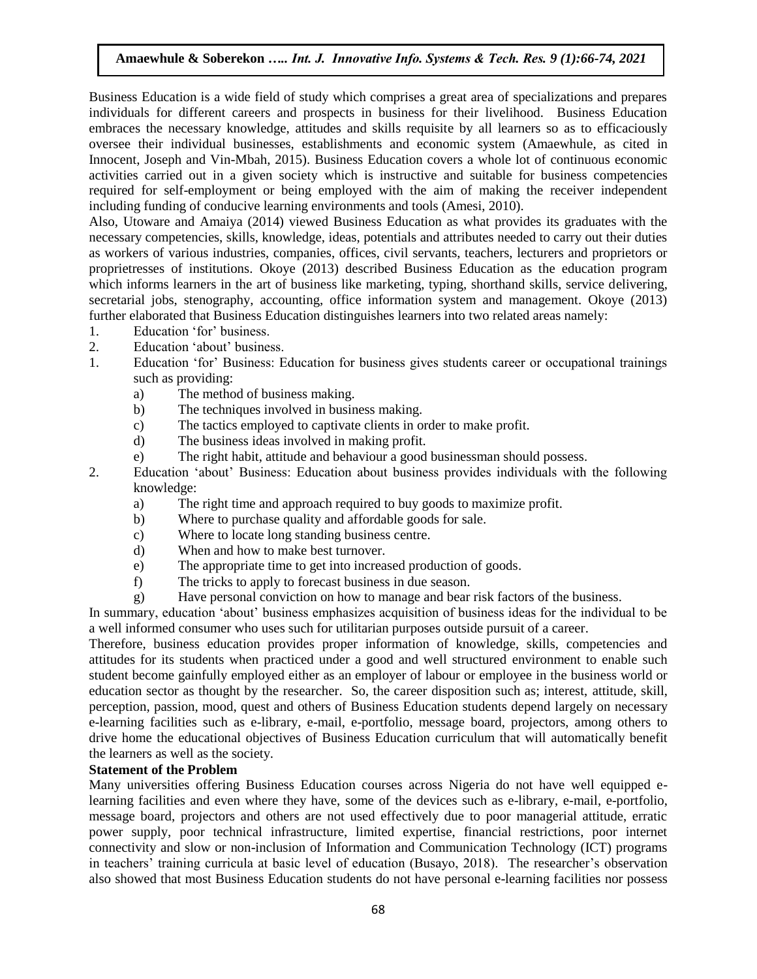Business Education is a wide field of study which comprises a great area of specializations and prepares individuals for different careers and prospects in business for their livelihood. Business Education embraces the necessary knowledge, attitudes and skills requisite by all learners so as to efficaciously oversee their individual businesses, establishments and economic system (Amaewhule, as cited in Innocent, Joseph and Vin-Mbah, 2015). Business Education covers a whole lot of continuous economic activities carried out in a given society which is instructive and suitable for business competencies required for self-employment or being employed with the aim of making the receiver independent including funding of conducive learning environments and tools (Amesi, 2010).

Also, Utoware and Amaiya (2014) viewed Business Education as what provides its graduates with the necessary competencies, skills, knowledge, ideas, potentials and attributes needed to carry out their duties as workers of various industries, companies, offices, civil servants, teachers, lecturers and proprietors or proprietresses of institutions. Okoye (2013) described Business Education as the education program which informs learners in the art of business like marketing, typing, shorthand skills, service delivering, secretarial jobs, stenography, accounting, office information system and management. Okoye (2013) further elaborated that Business Education distinguishes learners into two related areas namely:

- 1. Education "for" business.
- 2. Education "about" business.
- 1. Education "for" Business: Education for business gives students career or occupational trainings such as providing:
	- a) The method of business making.
	- b) The techniques involved in business making.
	- c) The tactics employed to captivate clients in order to make profit.
	- d) The business ideas involved in making profit.
	- e) The right habit, attitude and behaviour a good businessman should possess.
- 2. Education "about" Business: Education about business provides individuals with the following knowledge:
	- a) The right time and approach required to buy goods to maximize profit.
	- b) Where to purchase quality and affordable goods for sale.
	- c) Where to locate long standing business centre.
	- d) When and how to make best turnover.
	- e) The appropriate time to get into increased production of goods.
	- f) The tricks to apply to forecast business in due season.
	- g) Have personal conviction on how to manage and bear risk factors of the business.

In summary, education "about" business emphasizes acquisition of business ideas for the individual to be a well informed consumer who uses such for utilitarian purposes outside pursuit of a career.

Therefore, business education provides proper information of knowledge, skills, competencies and attitudes for its students when practiced under a good and well structured environment to enable such student become gainfully employed either as an employer of labour or employee in the business world or education sector as thought by the researcher. So, the career disposition such as; interest, attitude, skill, perception, passion, mood, quest and others of Business Education students depend largely on necessary e-learning facilities such as e-library, e-mail, e-portfolio, message board, projectors, among others to drive home the educational objectives of Business Education curriculum that will automatically benefit the learners as well as the society.

#### **Statement of the Problem**

Many universities offering Business Education courses across Nigeria do not have well equipped elearning facilities and even where they have, some of the devices such as e-library, e-mail, e-portfolio, message board, projectors and others are not used effectively due to poor managerial attitude, erratic power supply, poor technical infrastructure, limited expertise, financial restrictions, poor internet connectivity and slow or non-inclusion of Information and Communication Technology (ICT) programs in teachers" training curricula at basic level of education (Busayo, 2018). The researcher"s observation also showed that most Business Education students do not have personal e-learning facilities nor possess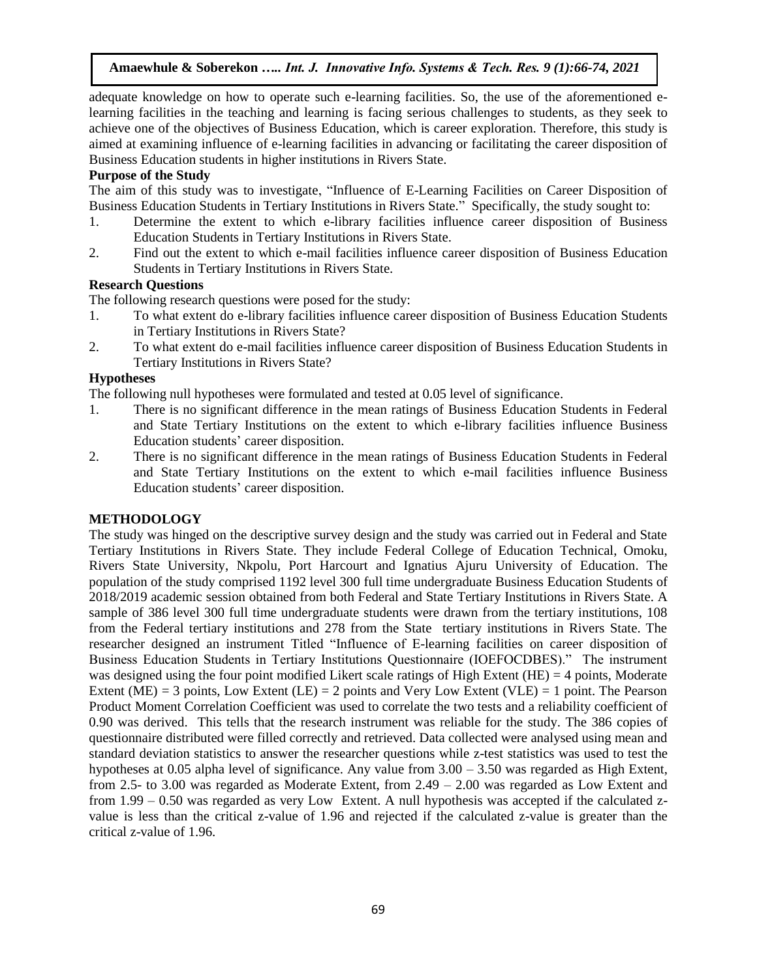adequate knowledge on how to operate such e-learning facilities. So, the use of the aforementioned elearning facilities in the teaching and learning is facing serious challenges to students, as they seek to achieve one of the objectives of Business Education, which is career exploration. Therefore, this study is aimed at examining influence of e-learning facilities in advancing or facilitating the career disposition of Business Education students in higher institutions in Rivers State.

## **Purpose of the Study**

The aim of this study was to investigate, "Influence of E-Learning Facilities on Career Disposition of Business Education Students in Tertiary Institutions in Rivers State." Specifically, the study sought to:

- 1. Determine the extent to which e-library facilities influence career disposition of Business Education Students in Tertiary Institutions in Rivers State.
- 2. Find out the extent to which e-mail facilities influence career disposition of Business Education Students in Tertiary Institutions in Rivers State.

## **Research Questions**

The following research questions were posed for the study:

- 1. To what extent do e-library facilities influence career disposition of Business Education Students in Tertiary Institutions in Rivers State?
- 2. To what extent do e-mail facilities influence career disposition of Business Education Students in Tertiary Institutions in Rivers State?

## **Hypotheses**

The following null hypotheses were formulated and tested at 0.05 level of significance.

- 1. There is no significant difference in the mean ratings of Business Education Students in Federal and State Tertiary Institutions on the extent to which e-library facilities influence Business Education students' career disposition.
- 2. There is no significant difference in the mean ratings of Business Education Students in Federal and State Tertiary Institutions on the extent to which e-mail facilities influence Business Education students' career disposition.

## **METHODOLOGY**

The study was hinged on the descriptive survey design and the study was carried out in Federal and State Tertiary Institutions in Rivers State. They include Federal College of Education Technical, Omoku, Rivers State University, Nkpolu, Port Harcourt and Ignatius Ajuru University of Education. The population of the study comprised 1192 level 300 full time undergraduate Business Education Students of 2018/2019 academic session obtained from both Federal and State Tertiary Institutions in Rivers State. A sample of 386 level 300 full time undergraduate students were drawn from the tertiary institutions, 108 from the Federal tertiary institutions and 278 from the State tertiary institutions in Rivers State. The researcher designed an instrument Titled "Influence of E-learning facilities on career disposition of Business Education Students in Tertiary Institutions Questionnaire (IOEFOCDBES)." The instrument was designed using the four point modified Likert scale ratings of High Extent (HE) = 4 points, Moderate Extent (ME) = 3 points, Low Extent (LE) = 2 points and Very Low Extent (VLE) = 1 point. The Pearson Product Moment Correlation Coefficient was used to correlate the two tests and a reliability coefficient of 0.90 was derived. This tells that the research instrument was reliable for the study. The 386 copies of questionnaire distributed were filled correctly and retrieved. Data collected were analysed using mean and standard deviation statistics to answer the researcher questions while z-test statistics was used to test the hypotheses at 0.05 alpha level of significance. Any value from  $3.00 - 3.50$  was regarded as High Extent, from 2.5- to 3.00 was regarded as Moderate Extent, from 2.49 – 2.00 was regarded as Low Extent and from 1.99 – 0.50 was regarded as very Low Extent. A null hypothesis was accepted if the calculated zvalue is less than the critical z-value of 1.96 and rejected if the calculated z-value is greater than the critical z-value of 1.96.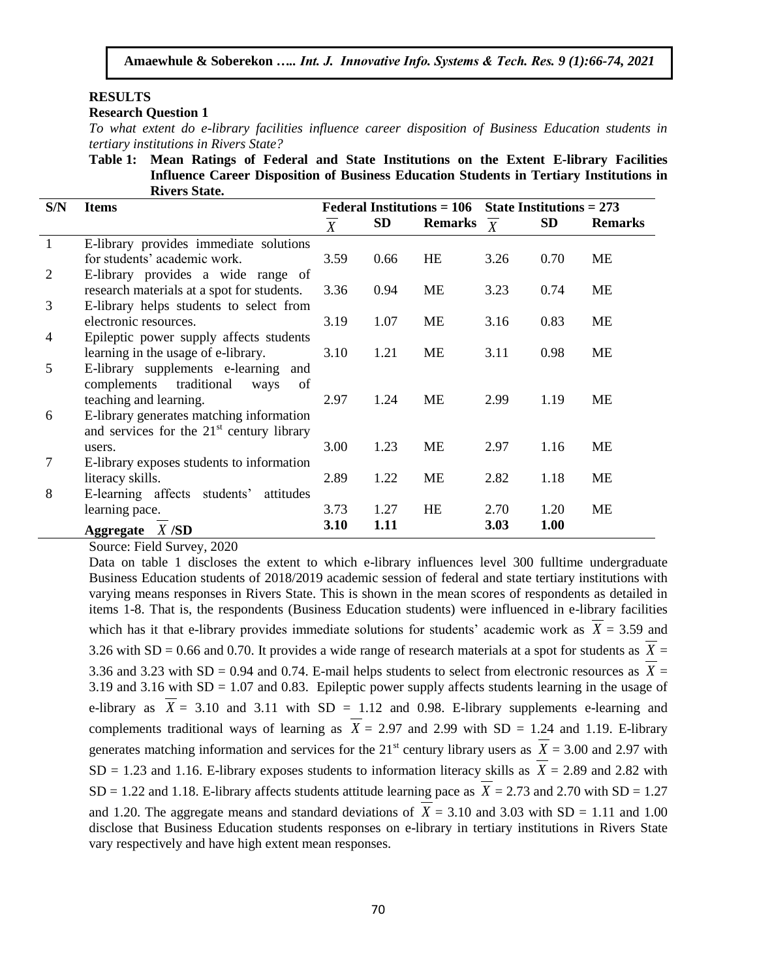## **RESULTS**

## **Research Question 1**

*To what extent do e-library facilities influence career disposition of Business Education students in tertiary institutions in Rivers State?*

**Table 1: Mean Ratings of Federal and State Institutions on the Extent E-library Facilities Influence Career Disposition of Business Education Students in Tertiary Institutions in Rivers State.**

| S/N            | <b>Items</b>                                          | <b>Federal Institutions = 106</b> |           |                | State Institutions $= 273$ |           |                |
|----------------|-------------------------------------------------------|-----------------------------------|-----------|----------------|----------------------------|-----------|----------------|
|                |                                                       | $\boldsymbol{X}$                  | <b>SD</b> | <b>Remarks</b> | $\boldsymbol{X}$           | <b>SD</b> | <b>Remarks</b> |
|                | E-library provides immediate solutions                |                                   |           |                |                            |           |                |
|                | for students' academic work.                          | 3.59                              | 0.66      | <b>HE</b>      | 3.26                       | 0.70      | ME             |
| $\overline{2}$ | E-library provides a wide range of                    |                                   |           |                |                            |           |                |
|                | research materials at a spot for students.            | 3.36                              | 0.94      | <b>ME</b>      | 3.23                       | 0.74      | ME             |
| 3              | E-library helps students to select from               |                                   |           |                |                            |           |                |
|                | electronic resources.                                 | 3.19                              | 1.07      | ME             | 3.16                       | 0.83      | ME             |
| 4              | Epileptic power supply affects students               |                                   |           |                |                            |           |                |
|                | learning in the usage of e-library.                   | 3.10                              | 1.21      | <b>ME</b>      | 3.11                       | 0.98      | <b>ME</b>      |
| 5              | E-library supplements e-learning and                  |                                   |           |                |                            |           |                |
|                | complements traditional<br>of<br>ways                 |                                   |           |                |                            |           |                |
|                | teaching and learning.                                | 2.97                              | 1.24      | <b>ME</b>      | 2.99                       | 1.19      | <b>ME</b>      |
| 6              | E-library generates matching information              |                                   |           |                |                            |           |                |
|                | and services for the 21 <sup>st</sup> century library |                                   |           |                |                            |           |                |
|                | users.                                                | 3.00                              | 1.23      | <b>ME</b>      | 2.97                       | 1.16      | ME             |
| 7              | E-library exposes students to information             |                                   |           |                |                            |           |                |
|                | literacy skills.                                      | 2.89                              | 1.22      | <b>ME</b>      | 2.82                       | 1.18      | <b>ME</b>      |
| 8              | E-learning affects students'<br>attitudes             |                                   |           |                |                            |           |                |
|                | learning pace.                                        | 3.73                              | 1.27      | <b>HE</b>      | 2.70                       | 1.20      | <b>ME</b>      |
|                | Aggregate $X/SD$                                      | 3.10                              | 1.11      |                | 3.03                       | 1.00      |                |

Source: Field Survey, 2020

Data on table 1 discloses the extent to which e-library influences level 300 fulltime undergraduate Business Education students of 2018/2019 academic session of federal and state tertiary institutions with varying means responses in Rivers State. This is shown in the mean scores of respondents as detailed in items 1-8. That is, the respondents (Business Education students) were influenced in e-library facilities which has it that e-library provides immediate solutions for students' academic work as  $X = 3.59$  and 3.26 with SD = 0.66 and 0.70. It provides a wide range of research materials at a spot for students as  $X =$ 3.36 and 3.23 with  $SD = 0.94$  and 0.74. E-mail helps students to select from electronic resources as  $X =$ 3.19 and 3.16 with SD = 1.07 and 0.83. Epileptic power supply affects students learning in the usage of e-library as  $X = 3.10$  and  $3.11$  with  $SD = 1.12$  and 0.98. E-library supplements e-learning and complements traditional ways of learning as  $X = 2.97$  and 2.99 with SD = 1.24 and 1.19. E-library generates matching information and services for the  $21<sup>st</sup>$  century library users as  $X = 3.00$  and 2.97 with  $SD = 1.23$  and 1.16. E-library exposes students to information literacy skills as  $X = 2.89$  and 2.82 with  $SD = 1.22$  and 1.18. E-library affects students attitude learning pace as  $X = 2.73$  and 2.70 with  $SD = 1.27$ and 1.20. The aggregate means and standard deviations of  $X = 3.10$  and 3.03 with SD = 1.11 and 1.00 disclose that Business Education students responses on e-library in tertiary institutions in Rivers State vary respectively and have high extent mean responses.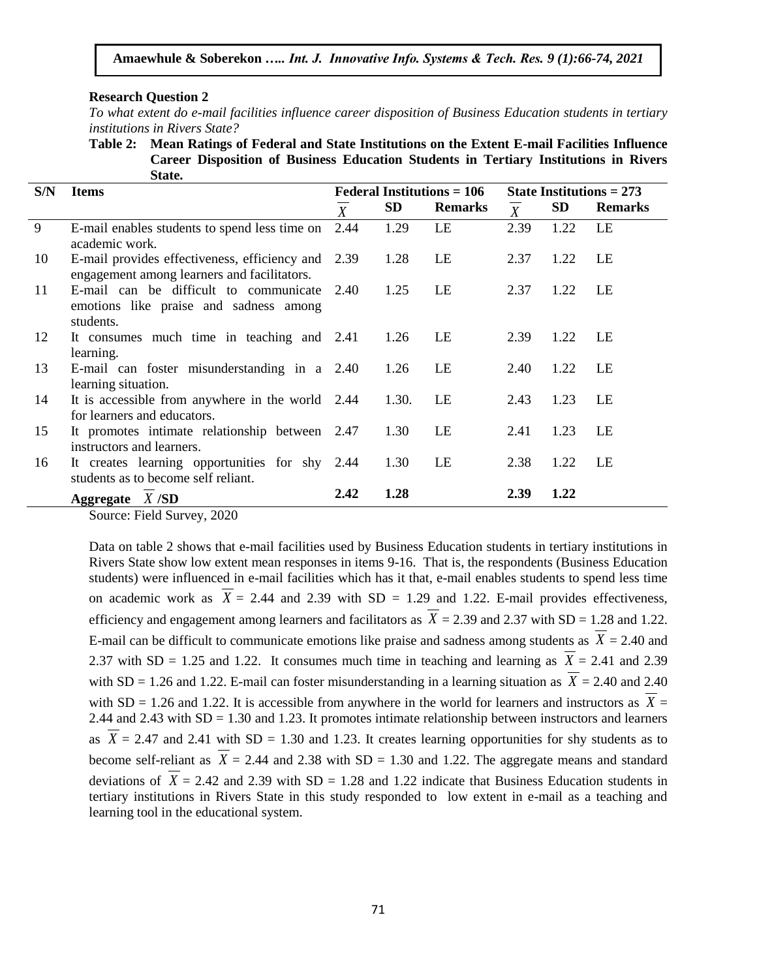#### **Research Question 2**

*To what extent do e-mail facilities influence career disposition of Business Education students in tertiary institutions in Rivers State?* 

**Table 2: Mean Ratings of Federal and State Institutions on the Extent E-mail Facilities Influence Career Disposition of Business Education Students in Tertiary Institutions in Rivers State.**

| S/N | <b>Items</b>                                                                                      | <b>Federal Institutions = 106</b> |           |                | State Institutions = $273$ |           |                |
|-----|---------------------------------------------------------------------------------------------------|-----------------------------------|-----------|----------------|----------------------------|-----------|----------------|
|     |                                                                                                   | $\overline{X}$                    | <b>SD</b> | <b>Remarks</b> | $\overline{X}$             | <b>SD</b> | <b>Remarks</b> |
| 9   | E-mail enables students to spend less time on<br>academic work.                                   | 2.44                              | 1.29      | LE             | 2.39                       | 1.22      | LE             |
| 10  | E-mail provides effectiveness, efficiency and 2.39<br>engagement among learners and facilitators. |                                   | 1.28      | LE             | 2.37                       | 1.22      | LE             |
| 11  | E-mail can be difficult to communicate<br>emotions like praise and sadness among<br>students.     | 2.40                              | 1.25      | LE             | 2.37                       | 1.22      | LE             |
| 12  | It consumes much time in teaching and 2.41<br>learning.                                           |                                   | 1.26      | LE             | 2.39                       | 1.22      | LE             |
| 13  | E-mail can foster misunderstanding in a 2.40<br>learning situation.                               |                                   | 1.26      | LE             | 2.40                       | 1.22      | LE.            |
| 14  | It is accessible from anywhere in the world 2.44<br>for learners and educators.                   |                                   | 1.30.     | LE             | 2.43                       | 1.23      | LE.            |
| 15  | It promotes intimate relationship between 2.47<br>instructors and learners.                       |                                   | 1.30      | LE             | 2.41                       | 1.23      | LE             |
| 16  | It creates learning opportunities for shy 2.44<br>students as to become self reliant.             |                                   | 1.30      | LE             | 2.38                       | 1.22      | LE.            |
|     | Aggregate $X$ /SD                                                                                 | 2.42                              | 1.28      |                | 2.39                       | 1.22      |                |

Source: Field Survey, 2020

Data on table 2 shows that e-mail facilities used by Business Education students in tertiary institutions in Rivers State show low extent mean responses in items 9-16. That is, the respondents (Business Education students) were influenced in e-mail facilities which has it that, e-mail enables students to spend less time on academic work as  $X = 2.44$  and 2.39 with SD = 1.29 and 1.22. E-mail provides effectiveness, efficiency and engagement among learners and facilitators as  $X = 2.39$  and  $2.37$  with SD = 1.28 and 1.22. E-mail can be difficult to communicate emotions like praise and sadness among students as  $X = 2.40$  and 2.37 with  $SD = 1.25$  and 1.22. It consumes much time in teaching and learning as  $X = 2.41$  and 2.39 with  $SD = 1.26$  and 1.22. E-mail can foster misunderstanding in a learning situation as  $X = 2.40$  and 2.40 with  $SD = 1.26$  and 1.22. It is accessible from anywhere in the world for learners and instructors as  $X =$ 2.44 and 2.43 with SD = 1.30 and 1.23. It promotes intimate relationship between instructors and learners as  $X = 2.47$  and 2.41 with SD = 1.30 and 1.23. It creates learning opportunities for shy students as to become self-reliant as  $X = 2.44$  and 2.38 with SD = 1.30 and 1.22. The aggregate means and standard deviations of  $X = 2.42$  and 2.39 with SD = 1.28 and 1.22 indicate that Business Education students in tertiary institutions in Rivers State in this study responded to low extent in e-mail as a teaching and learning tool in the educational system.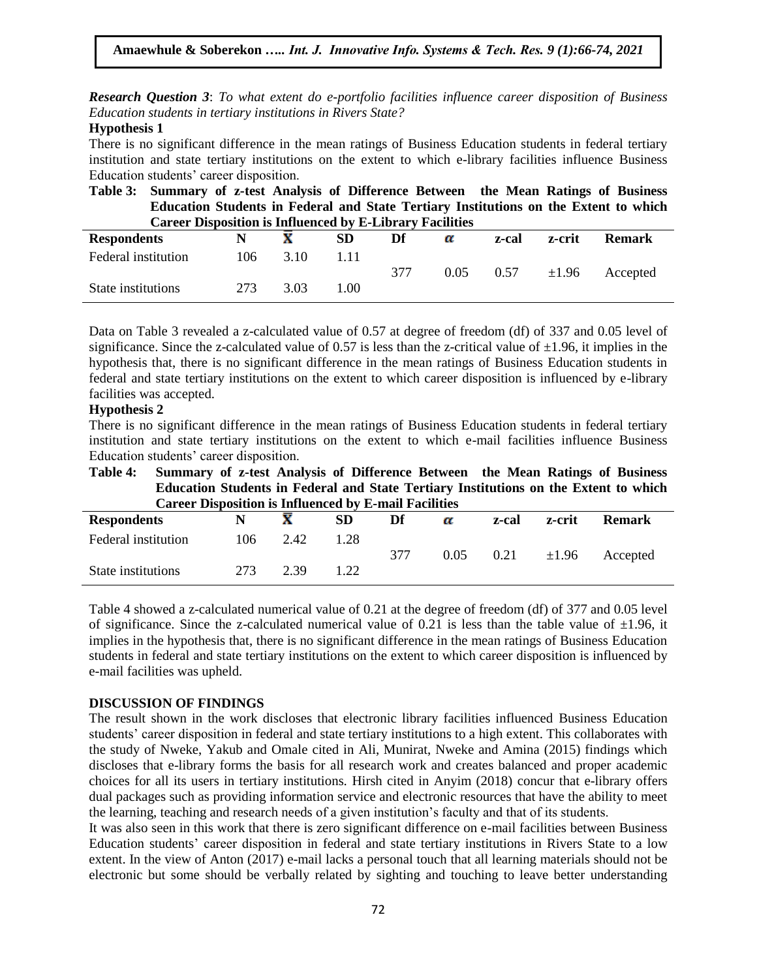*Research Question 3*: *To what extent do e-portfolio facilities influence career disposition of Business Education students in tertiary institutions in Rivers State?* 

#### **Hypothesis 1**

There is no significant difference in the mean ratings of Business Education students in federal tertiary institution and state tertiary institutions on the extent to which e-library facilities influence Business Education students' career disposition.

**Table 3: Summary of z-test Analysis of Difference Between the Mean Ratings of Business Education Students in Federal and State Tertiary Institutions on the Extent to which Career Disposition is Influenced by E-Library Facilities**

| <b>Respondents</b>  |     |      | ${\bf SD}$ | Df  | α    | z-cal | z-crit     | <b>Remark</b> |
|---------------------|-----|------|------------|-----|------|-------|------------|---------------|
| Federal institution | 106 | 3.10 | .11        |     |      |       |            |               |
|                     |     |      |            | 377 | 0.05 | 0.57  | $\pm 1.96$ | Accepted      |
| State institutions  | 273 | 3.03 | .00        |     |      |       |            |               |

Data on Table 3 revealed a z-calculated value of 0.57 at degree of freedom (df) of 337 and 0.05 level of significance. Since the z-calculated value of 0.57 is less than the z-critical value of  $\pm 1.96$ , it implies in the hypothesis that, there is no significant difference in the mean ratings of Business Education students in federal and state tertiary institutions on the extent to which career disposition is influenced by e-library facilities was accepted.

## **Hypothesis 2**

There is no significant difference in the mean ratings of Business Education students in federal tertiary institution and state tertiary institutions on the extent to which e-mail facilities influence Business Education students" career disposition.

**Table 4: Summary of z-test Analysis of Difference Between the Mean Ratings of Business Education Students in Federal and State Tertiary Institutions on the Extent to which Career Disposition is Influenced by E-mail Facilities**

| <b>Respondents</b>  |     |      | <b>SD</b> | Df  | α    | z-cal | z-crit     | <b>Remark</b> |
|---------------------|-----|------|-----------|-----|------|-------|------------|---------------|
| Federal institution | 106 | 2.42 | 1.28      | 377 | 0.05 | 0.21  | $\pm 1.96$ | Accepted      |
| State institutions  | 273 | 2.39 | 1.22      |     |      |       |            |               |

Table 4 showed a z-calculated numerical value of 0.21 at the degree of freedom (df) of 377 and 0.05 level of significance. Since the z-calculated numerical value of 0.21 is less than the table value of  $\pm 1.96$ , it implies in the hypothesis that, there is no significant difference in the mean ratings of Business Education students in federal and state tertiary institutions on the extent to which career disposition is influenced by e-mail facilities was upheld.

#### **DISCUSSION OF FINDINGS**

The result shown in the work discloses that electronic library facilities influenced Business Education students' career disposition in federal and state tertiary institutions to a high extent. This collaborates with the study of Nweke, Yakub and Omale cited in Ali, Munirat, Nweke and Amina (2015) findings which discloses that e-library forms the basis for all research work and creates balanced and proper academic choices for all its users in tertiary institutions. Hirsh cited in Anyim (2018) concur that e-library offers dual packages such as providing information service and electronic resources that have the ability to meet the learning, teaching and research needs of a given institution"s faculty and that of its students.

It was also seen in this work that there is zero significant difference on e-mail facilities between Business Education students" career disposition in federal and state tertiary institutions in Rivers State to a low extent. In the view of Anton (2017) e-mail lacks a personal touch that all learning materials should not be electronic but some should be verbally related by sighting and touching to leave better understanding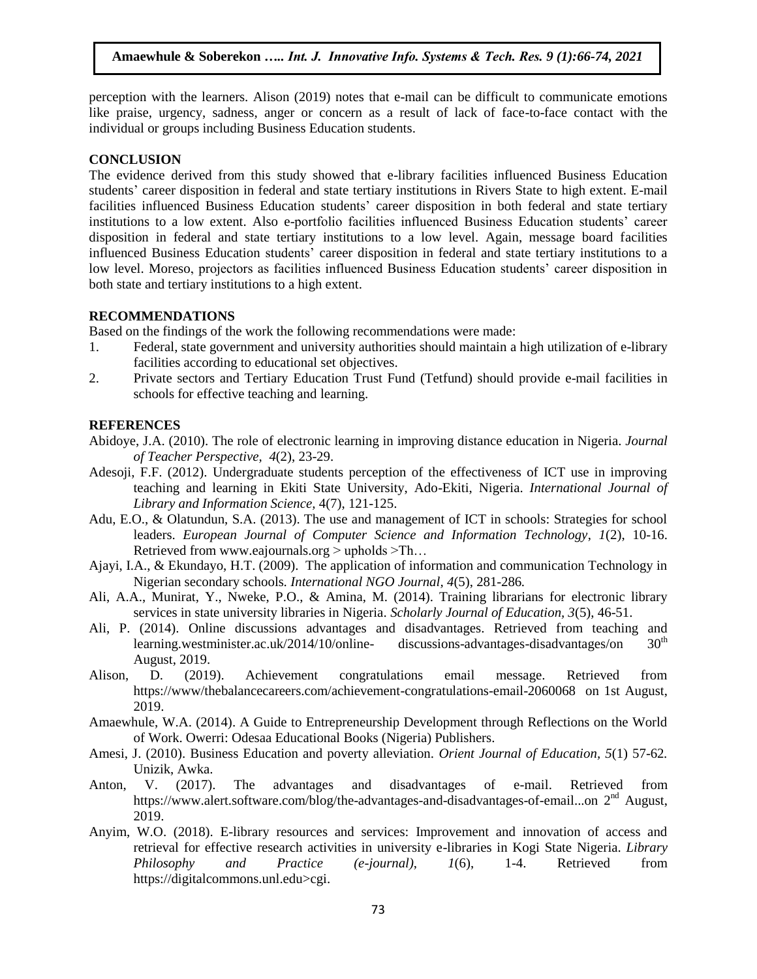perception with the learners. Alison (2019) notes that e-mail can be difficult to communicate emotions like praise, urgency, sadness, anger or concern as a result of lack of face-to-face contact with the individual or groups including Business Education students.

## **CONCLUSION**

The evidence derived from this study showed that e-library facilities influenced Business Education students' career disposition in federal and state tertiary institutions in Rivers State to high extent. E-mail facilities influenced Business Education students" career disposition in both federal and state tertiary institutions to a low extent. Also e-portfolio facilities influenced Business Education students" career disposition in federal and state tertiary institutions to a low level. Again, message board facilities influenced Business Education students" career disposition in federal and state tertiary institutions to a low level. Moreso, projectors as facilities influenced Business Education students" career disposition in both state and tertiary institutions to a high extent.

## **RECOMMENDATIONS**

Based on the findings of the work the following recommendations were made:

- 1. Federal, state government and university authorities should maintain a high utilization of e-library facilities according to educational set objectives.
- 2. Private sectors and Tertiary Education Trust Fund (Tetfund) should provide e-mail facilities in schools for effective teaching and learning.

## **REFERENCES**

- Abidoye, J.A. (2010). The role of electronic learning in improving distance education in Nigeria. *Journal of Teacher Perspective, 4*(2), 23-29.
- Adesoji, F.F. (2012). Undergraduate students perception of the effectiveness of ICT use in improving teaching and learning in Ekiti State University, Ado-Ekiti, Nigeria. *International Journal of Library and Information Science,* 4(7), 121-125.
- Adu, E.O., & Olatundun, S.A. (2013). The use and management of ICT in schools: Strategies for school leaders. *European Journal of Computer Science and Information Technology*, *1*(2), 10-16. Retrieved fro[m www.eajournals.org](http://www.eajournals.org/)  $>$  upholds  $>$ Th...
- Ajayi, I.A., & Ekundayo, H.T. (2009). The application of information and communication Technology in Nigerian secondary schools. *International NGO Journal, 4*(5), 281-286*.*
- Ali, A.A., Munirat, Y., Nweke, P.O., & Amina, M. (2014). Training librarians for electronic library services in state university libraries in Nigeria. *Scholarly Journal of Education, 3*(5), 46-51.
- Ali, P. (2014). Online discussions advantages and disadvantages. Retrieved from teaching and learning.westminister.ac.uk/2014/10/online- discussions-advantages-disadvantages/on  $30<sup>th</sup>$ August, 2019.
- Alison, D. (2019). Achievement congratulations email message. Retrieved from <https://www/thebalancecareers.com/achievement-congratulations-email-2060068>on 1st August, 2019.
- Amaewhule, W.A. (2014). A Guide to Entrepreneurship Development through Reflections on the World of Work. Owerri: Odesaa Educational Books (Nigeria) Publishers.
- Amesi, J. (2010). Business Education and poverty alleviation. *Orient Journal of Education, 5*(1) 57-62*.* Unizik, Awka.
- Anton, V. (2017). The advantages and disadvantages of e-mail. Retrieved from https://www.alert.software.com/blog/the-advantages-and-disadvantages-of-email...on 2<sup>nd</sup> August, 2019.
- Anyim, W.O. (2018). E-library resources and services: Improvement and innovation of access and retrieval for effective research activities in university e-libraries in Kogi State Nigeria. *Library Philosophy and Practice (e-journal)*, *1*(6), 1-4. Retrieved from https://digitalcommons.unl.edu>cgi.